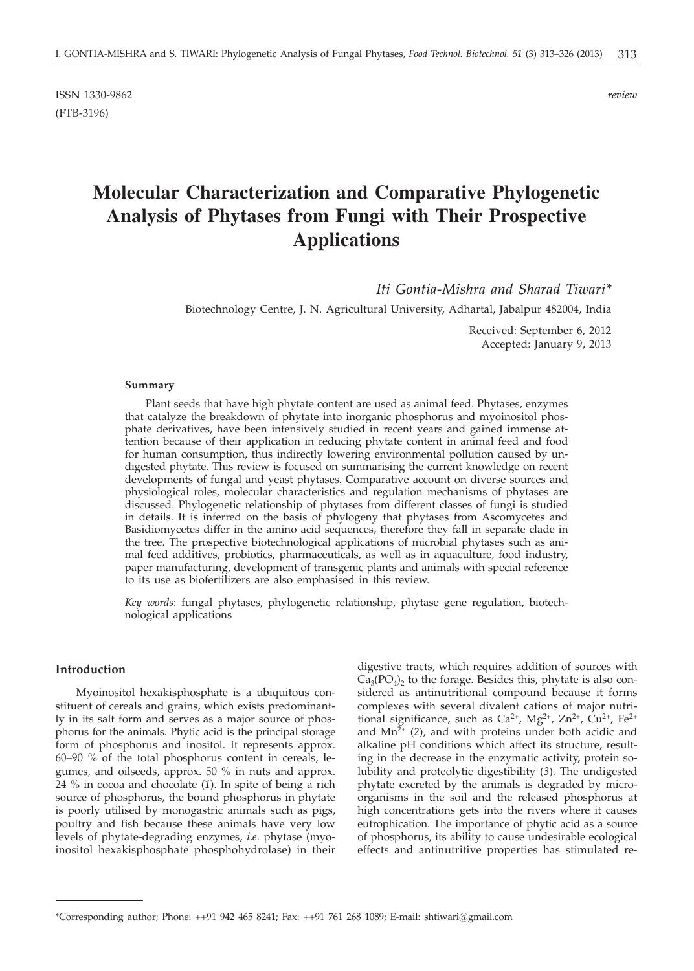ISSN 1330-9862 *review* (FTB-3196)

# **Molecular Characterization and Comparative Phylogenetic Analysis of Phytases from Fungi with Their Prospective Applications**

*Iti Gontia-Mishra and Sharad Tiwari\**

Biotechnology Centre, J. N. Agricultural University, Adhartal, Jabalpur 482004, India

Received: September 6, 2012 Accepted: January 9, 2013

## **Summary**

Plant seeds that have high phytate content are used as animal feed. Phytases, enzymes that catalyze the breakdown of phytate into inorganic phosphorus and myoinositol phosphate derivatives, have been intensively studied in recent years and gained immense attention because of their application in reducing phytate content in animal feed and food for human consumption, thus indirectly lowering environmental pollution caused by undigested phytate. This review is focused on summarising the current knowledge on recent developments of fungal and yeast phytases. Comparative account on diverse sources and physiological roles, molecular characteristics and regulation mechanisms of phytases are discussed. Phylogenetic relationship of phytases from different classes of fungi is studied in details. It is inferred on the basis of phylogeny that phytases from Ascomycetes and Basidiomycetes differ in the amino acid sequences, therefore they fall in separate clade in the tree. The prospective biotechnological applications of microbial phytases such as animal feed additives, probiotics, pharmaceuticals, as well as in aquaculture, food industry, paper manufacturing, development of transgenic plants and animals with special reference to its use as biofertilizers are also emphasised in this review.

*Key words*: fungal phytases, phylogenetic relationship, phytase gene regulation, biotechnological applications

# **Introduction**

Myoinositol hexakisphosphate is a ubiquitous constituent of cereals and grains, which exists predominantly in its salt form and serves as a major source of phosphorus for the animals. Phytic acid is the principal storage form of phosphorus and inositol. It represents approx. 60–90 % of the total phosphorus content in cereals, legumes, and oilseeds, approx. 50 % in nuts and approx. 24 % in cocoa and chocolate (*1*). In spite of being a rich source of phosphorus, the bound phosphorus in phytate is poorly utilised by monogastric animals such as pigs, poultry and fish because these animals have very low levels of phytate-degrading enzymes, *i*.*e*. phytase (myoinositol hexakisphosphate phosphohydrolase) in their

digestive tracts, which requires addition of sources with  $Ca<sub>3</sub>(PO<sub>4</sub>)<sub>2</sub>$  to the forage. Besides this, phytate is also considered as antinutritional compound because it forms complexes with several divalent cations of major nutritional significance, such as Ca<sup>2+</sup>, Mg<sup>2+</sup>, Zn<sup>2+</sup>, Cu<sup>2+</sup>, Fe<sup>2+</sup> and  $Mn^{2+}$  (2), and with proteins under both acidic and alkaline pH conditions which affect its structure, resulting in the decrease in the enzymatic activity, protein solubility and proteolytic digestibility (*3*). The undigested phytate excreted by the animals is degraded by microorganisms in the soil and the released phosphorus at high concentrations gets into the rivers where it causes eutrophication. The importance of phytic acid as a source of phosphorus, its ability to cause undesirable ecological effects and antinutritive properties has stimulated re-

<sup>\*</sup>Corresponding author; Phone: ++91 942 465 8241; Fax: ++91 761 268 1089; E-mail: shtiwari@gmail.com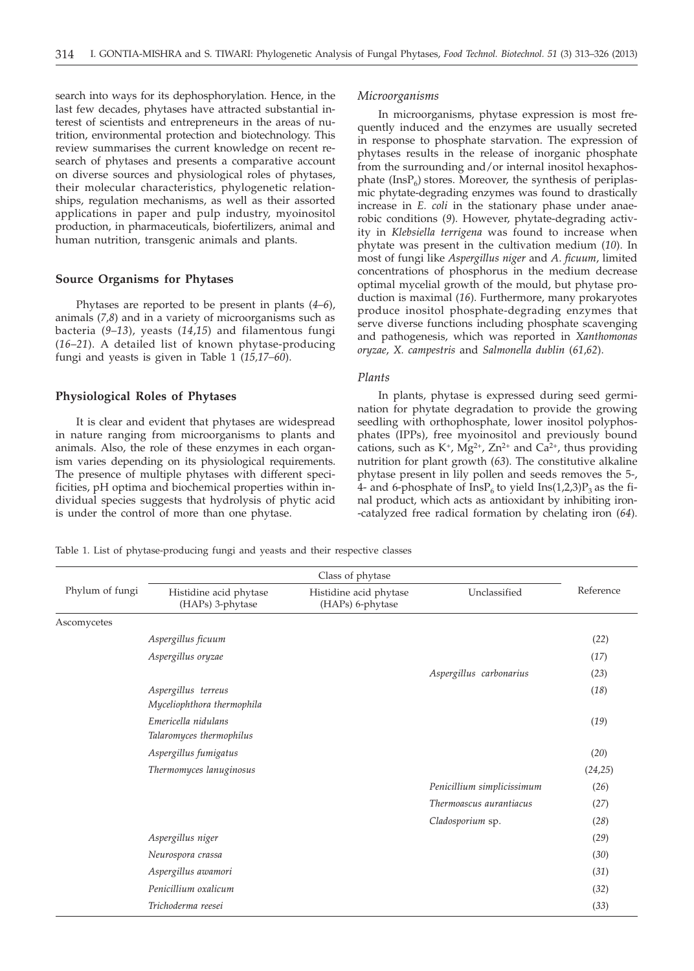search into ways for its dephosphorylation. Hence, in the last few decades, phytases have attracted substantial interest of scientists and entrepreneurs in the areas of nutrition, environmental protection and biotechnology. This review summarises the current knowledge on recent research of phytases and presents a comparative account on diverse sources and physiological roles of phytases, their molecular characteristics, phylogenetic relationships, regulation mechanisms, as well as their assorted applications in paper and pulp industry, myoinositol production, in pharmaceuticals, biofertilizers, animal and human nutrition, transgenic animals and plants.

## **Source Organisms for Phytases**

Phytases are reported to be present in plants (*4*–*6*), animals (*7*,*8*) and in a variety of microorganisms such as bacteria (*9*–*13*), yeasts (*14*,*15*) and filamentous fungi (*16*–*21*). A detailed list of known phytase-producing fungi and yeasts is given in Table 1 (*15,17–60*).

# **Physiological Roles of Phytases**

It is clear and evident that phytases are widespread in nature ranging from microorganisms to plants and animals. Also, the role of these enzymes in each organism varies depending on its physiological requirements. The presence of multiple phytases with different specificities, pH optima and biochemical properties within individual species suggests that hydrolysis of phytic acid is under the control of more than one phytase.

# *Microorganisms*

In microorganisms, phytase expression is most frequently induced and the enzymes are usually secreted in response to phosphate starvation. The expression of phytases results in the release of inorganic phosphate from the surrounding and/or internal inositol hexaphosphate  $(InsP_6)$  stores. Moreover, the synthesis of periplasmic phytate-degrading enzymes was found to drastically increase in *E. coli* in the stationary phase under anaerobic conditions (*9*). However, phytate-degrading activity in *Klebsiella terrigena* was found to increase when phytate was present in the cultivation medium (*10*). In most of fungi like *Aspergillus niger* and *A*. *ficuum*, limited concentrations of phosphorus in the medium decrease optimal mycelial growth of the mould, but phytase production is maximal (*16*). Furthermore, many prokaryotes produce inositol phosphate-degrading enzymes that serve diverse functions including phosphate scavenging and pathogenesis, which was reported in *Xanthomonas oryzae*, *X. campestris* and *Salmonella dublin* (*61*,*62*).

# *Plants*

In plants, phytase is expressed during seed germination for phytate degradation to provide the growing seedling with orthophosphate, lower inositol polyphosphates (IPPs), free myoinositol and previously bound cations, such as  $K^+$ ,  $Mg^{2+}$ ,  $Zn^{2+}$  and  $Ca^{2+}$ , thus providing nutrition for plant growth (*63*). The constitutive alkaline phytase present in lily pollen and seeds removes the 5-, 4- and 6-phosphate of  $InsP_6$  to yield  $Ins(1,2,3)P_3$  as the final product, which acts as antioxidant by inhibiting iron- -catalyzed free radical formation by chelating iron (*64*).

Table 1. List of phytase-producing fungi and yeasts and their respective classes

| Phylum of fungi | Histidine acid phytase<br>(HAPs) 3-phytase        | Histidine acid phytase<br>(HAPs) 6-phytase | Unclassified               | Reference |
|-----------------|---------------------------------------------------|--------------------------------------------|----------------------------|-----------|
| Ascomycetes     |                                                   |                                            |                            |           |
|                 | Aspergillus ficuum                                |                                            |                            | (22)      |
|                 | Aspergillus oryzae                                |                                            |                            | (17)      |
|                 |                                                   |                                            | Aspergillus carbonarius    | (23)      |
|                 | Aspergillus terreus<br>Myceliophthora thermophila |                                            |                            | (18)      |
|                 | Emericella nidulans<br>Talaromyces thermophilus   |                                            |                            | (19)      |
|                 | Aspergillus fumigatus                             |                                            |                            | (20)      |
|                 | Thermomyces lanuginosus                           |                                            |                            | (24,25)   |
|                 |                                                   |                                            | Penicillium simplicissimum | (26)      |
|                 |                                                   |                                            | Thermoascus aurantiacus    | (27)      |
|                 |                                                   |                                            | Cladosporium sp.           | (28)      |
|                 | Aspergillus niger                                 |                                            |                            | (29)      |
|                 | Neurospora crassa                                 |                                            |                            | (30)      |
|                 | Aspergillus awamori                               |                                            |                            | (31)      |
|                 | Penicillium oxalicum                              |                                            |                            | (32)      |
|                 | Trichoderma reesei                                |                                            |                            | (33)      |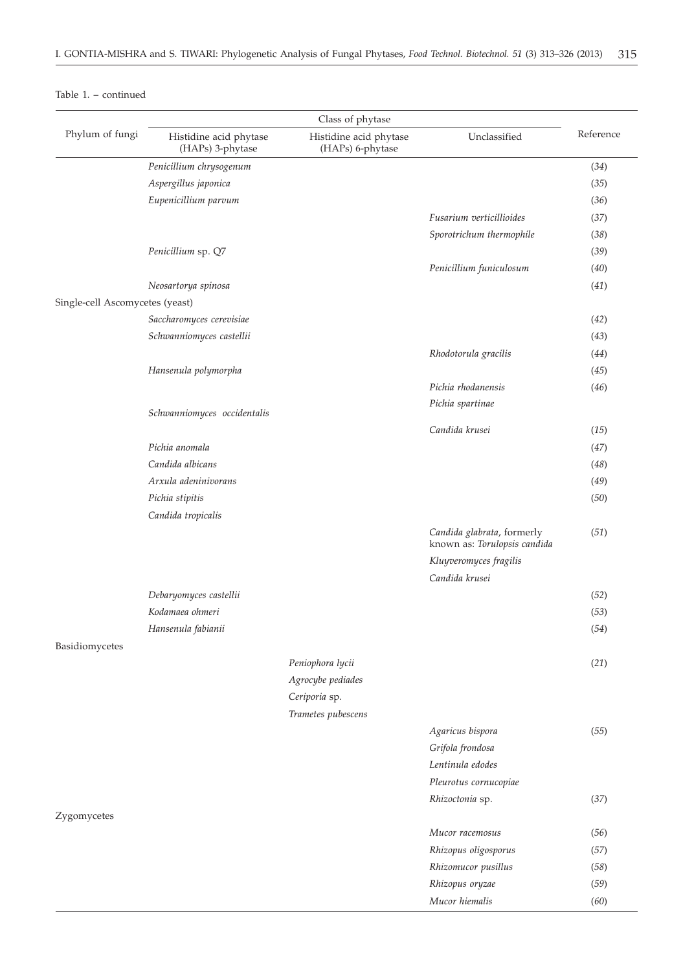|                                 | Class of phytase                           |                                            |                                                            |           |
|---------------------------------|--------------------------------------------|--------------------------------------------|------------------------------------------------------------|-----------|
| Phylum of fungi                 | Histidine acid phytase<br>(HAPs) 3-phytase | Histidine acid phytase<br>(HAPs) 6-phytase | Unclassified                                               | Reference |
|                                 | Penicillium chrysogenum                    |                                            |                                                            | (34)      |
|                                 | Aspergillus japonica                       |                                            |                                                            | (35)      |
|                                 | Eupenicillium parvum                       |                                            |                                                            | (36)      |
|                                 |                                            |                                            | Fusarium verticillioides                                   | (37)      |
|                                 |                                            |                                            | Sporotrichum thermophile                                   | (38)      |
|                                 | Penicillium sp. Q7                         |                                            |                                                            | (39)      |
|                                 |                                            |                                            | Penicillium funiculosum                                    | (40)      |
|                                 | Neosartorya spinosa                        |                                            |                                                            | (41)      |
| Single-cell Ascomycetes (yeast) |                                            |                                            |                                                            |           |
|                                 | Saccharomyces cerevisiae                   |                                            |                                                            | (42)      |
|                                 | Schwanniomyces castellii                   |                                            |                                                            | (43)      |
|                                 |                                            |                                            | Rhodotorula gracilis                                       | (44)      |
|                                 | Hansenula polymorpha                       |                                            |                                                            | (45)      |
|                                 |                                            |                                            | Pichia rhodanensis                                         | (46)      |
|                                 |                                            |                                            | Pichia spartinae                                           |           |
|                                 | Schwanniomyces occidentalis                |                                            |                                                            |           |
|                                 |                                            |                                            | Candida krusei                                             | (15)      |
|                                 | Pichia anomala                             |                                            |                                                            | (47)      |
|                                 | Candida albicans                           |                                            |                                                            | (48)      |
|                                 | Arxula adeninivorans                       |                                            |                                                            | (49)      |
|                                 | Pichia stipitis                            |                                            |                                                            | (50)      |
|                                 | Candida tropicalis                         |                                            |                                                            |           |
|                                 |                                            |                                            | Candida glabrata, formerly<br>known as: Torulopsis candida | (51)      |
|                                 |                                            |                                            | Kluyveromyces fragilis                                     |           |
|                                 |                                            |                                            | Candida krusei                                             |           |
|                                 | Debaryomyces castellii                     |                                            |                                                            | (52)      |
|                                 | Kodamaea ohmeri                            |                                            |                                                            | (53)      |
|                                 | Hansenula fabianii                         |                                            |                                                            | (54)      |
| Basidiomycetes                  |                                            |                                            |                                                            |           |
|                                 |                                            | Peniophora lycii                           |                                                            | (21)      |
|                                 |                                            | Agrocybe pediades                          |                                                            |           |
|                                 |                                            | Ceriporia sp.                              |                                                            |           |
|                                 |                                            | Trametes pubescens                         |                                                            |           |
|                                 |                                            |                                            | Agaricus bispora                                           | (55)      |
|                                 |                                            |                                            | Grifola frondosa                                           |           |
|                                 |                                            |                                            | Lentinula edodes                                           |           |
|                                 |                                            |                                            | Pleurotus cornucopiae                                      |           |
|                                 |                                            |                                            | Rhizoctonia sp.                                            | (37)      |
| Zygomycetes                     |                                            |                                            |                                                            |           |
|                                 |                                            |                                            | Mucor racemosus                                            | (56)      |
|                                 |                                            |                                            | Rhizopus oligosporus                                       | (57)      |
|                                 |                                            |                                            | Rhizomucor pusillus                                        | (58)      |
|                                 |                                            |                                            | Rhizopus oryzae                                            | (59)      |
|                                 |                                            |                                            | Mucor hiemalis                                             | (60)      |

# Table 1. – continued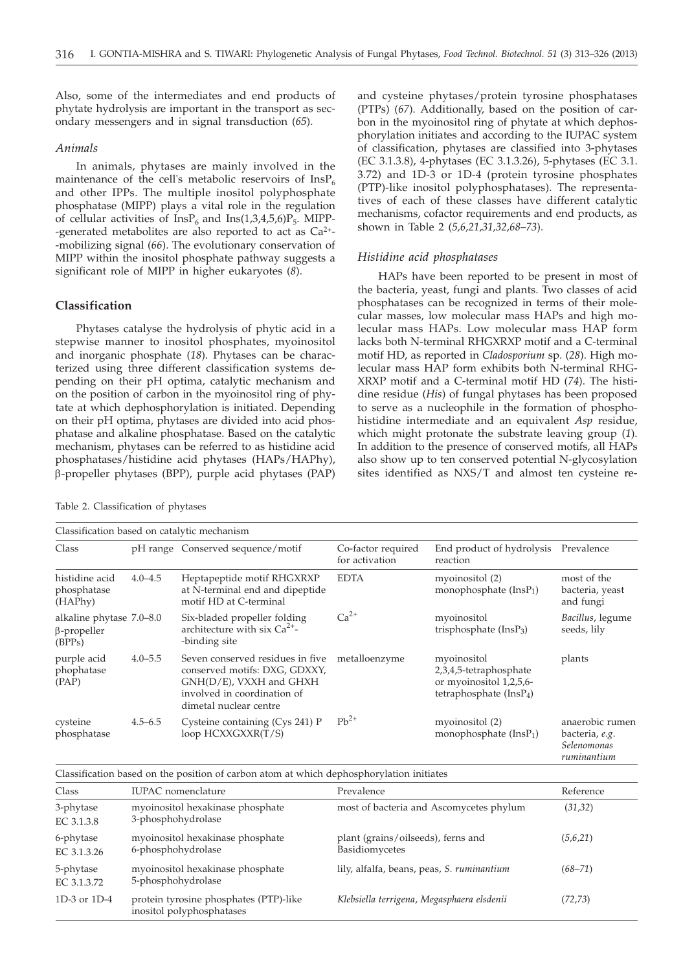Also, some of the intermediates and end products of phytate hydrolysis are important in the transport as secondary messengers and in signal transduction (*65*).

# *Animals*

In animals, phytases are mainly involved in the maintenance of the cell's metabolic reservoirs of  $InsP<sub>6</sub>$ and other IPPs. The multiple inositol polyphosphate phosphatase (MIPP) plays a vital role in the regulation of cellular activities of  $InsP<sub>6</sub>$  and  $Ins(1,3,4,5,6)P<sub>5</sub>$ . MIPP--generated metabolites are also reported to act as  $Ca^{2+}$ --mobilizing signal (*66*). The evolutionary conservation of MIPP within the inositol phosphate pathway suggests a significant role of MIPP in higher eukaryotes (*8*).

# **Classification**

Phytases catalyse the hydrolysis of phytic acid in a stepwise manner to inositol phosphates, myoinositol and inorganic phosphate (*18*). Phytases can be characterized using three different classification systems depending on their pH optima, catalytic mechanism and on the position of carbon in the myoinositol ring of phytate at which dephosphorylation is initiated. Depending on their pH optima, phytases are divided into acid phosphatase and alkaline phosphatase. Based on the catalytic mechanism, phytases can be referred to as histidine acid phosphatases/histidine acid phytases (HAPs/HAPhy), b-propeller phytases (BPP), purple acid phytases (PAP)

Table 2. Classification of phytases

and cysteine phytases/protein tyrosine phosphatases (PTPs) (*67*). Additionally, based on the position of carbon in the myoinositol ring of phytate at which dephosphorylation initiates and according to the IUPAC system of classification, phytases are classified into 3-phytases (EC 3.1.3.8), 4-phytases (EC 3.1.3.26), 5-phytases (EC 3.1. 3.72) and 1D-3 or 1D-4 (protein tyrosine phosphates (PTP)-like inositol polyphosphatases). The representatives of each of these classes have different catalytic mechanisms, cofactor requirements and end products, as shown in Table 2 (*5,6,21,31,32,68–73*).

## *Histidine acid phosphatases*

HAPs have been reported to be present in most of the bacteria, yeast, fungi and plants. Two classes of acid phosphatases can be recognized in terms of their molecular masses, low molecular mass HAPs and high molecular mass HAPs. Low molecular mass HAP form lacks both N-terminal RHGXRXP motif and a C-terminal motif HD, as reported in *Cladosporium* sp. (*28*). High molecular mass HAP form exhibits both N-terminal RHG-XRXP motif and a C-terminal motif HD (*74*). The histidine residue (*His*) of fungal phytases has been proposed to serve as a nucleophile in the formation of phosphohistidine intermediate and an equivalent *Asp* residue, which might protonate the substrate leaving group (*1*). In addition to the presence of conserved motifs, all HAPs also show up to ten conserved potential N-glycosylation sites identified as NXS/T and almost ten cysteine re-

| Classification based on catalytic mechanism              |             |                                                                                                                                                       |                                      |                                                                                              |                                                                 |
|----------------------------------------------------------|-------------|-------------------------------------------------------------------------------------------------------------------------------------------------------|--------------------------------------|----------------------------------------------------------------------------------------------|-----------------------------------------------------------------|
| Class                                                    |             | pH range Conserved sequence/motif                                                                                                                     | Co-factor required<br>for activation | End product of hydrolysis<br>reaction                                                        | Prevalence                                                      |
| histidine acid<br>phosphatase<br>(HAPhy)                 | $4.0 - 4.5$ | Heptapeptide motif RHGXRXP<br>at N-terminal end and dipeptide<br>motif HD at C-terminal                                                               | <b>EDTA</b>                          | myoinositol (2)<br>monophosphate $(InsP1)$                                                   | most of the<br>bacteria, yeast<br>and fungi                     |
| alkaline phytase 7.0-8.0<br>$\beta$ -propeller<br>(BPPs) |             | Six-bladed propeller folding<br>architecture with six $Ca^{2+}$ -<br>-binding site                                                                    | $Ca2+$                               | myoinositol<br>trisphosphate $(InsP3)$                                                       | Bacillus, legume<br>seeds, lily                                 |
| purple acid<br>phophatase<br>(PAP)                       | $4.0 - 5.5$ | Seven conserved residues in five<br>conserved motifs: DXG, GDXXY,<br>GNH(D/E), VXXH and GHXH<br>involved in coordination of<br>dimetal nuclear centre | metalloenzyme                        | myoinositol<br>2,3,4,5-tetraphosphate<br>or myoinositol 1,2,5,6-<br>tetraphosphate $(InsP4)$ | plants                                                          |
| cysteine<br>phosphatase                                  | $4.5 - 6.5$ | Cysteine containing (Cys 241) P<br>loop HCXXGXXR(T/S)                                                                                                 | $Pb^{2+}$                            | myoinositol (2)<br>monophosphate $(InsP1)$                                                   | anaerobic rumen<br>bacteria, e.g.<br>Selenomonas<br>ruminantium |

Classification based on the position of carbon atom at which dephosphorylation initiates

| Class                    | <b>IUPAC</b> nomenclature                                           | Prevalence                                           | Reference   |
|--------------------------|---------------------------------------------------------------------|------------------------------------------------------|-------------|
| 3-phytase<br>EC 3.1.3.8  | myoinositol hexakinase phosphate<br>3-phosphohydrolase              | most of bacteria and Ascomycetes phylum              | (31, 32)    |
| 6-phytase<br>EC 3.1.3.26 | myoinositol hexakinase phosphate<br>6-phosphohydrolase              | plant (grains/oilseeds), ferns and<br>Basidiomycetes | (5,6,21)    |
| 5-phytase<br>EC 3.1.3.72 | myoinositol hexakinase phosphate<br>5-phosphohydrolase              | lily, alfalfa, beans, peas, S. ruminantium           | $(68 - 71)$ |
| 1D-3 or $1D-4$           | protein tyrosine phosphates (PTP)-like<br>inositol polyphosphatases | Klebsiella terrigena, Megasphaera elsdenii           | (72, 73)    |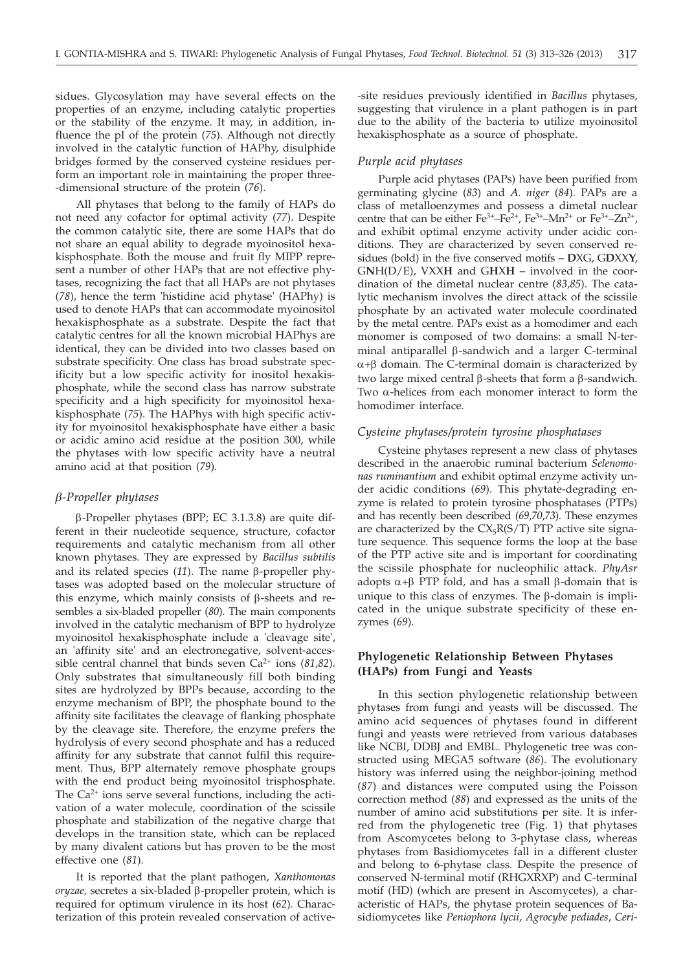sidues. Glycosylation may have several effects on the properties of an enzyme, including catalytic properties or the stability of the enzyme. It may, in addition, influence the pI of the protein (*75*). Although not directly involved in the catalytic function of HAPhy, disulphide bridges formed by the conserved cysteine residues perform an important role in maintaining the proper three- -dimensional structure of the protein (*76*).

All phytases that belong to the family of HAPs do not need any cofactor for optimal activity (*77*). Despite the common catalytic site, there are some HAPs that do not share an equal ability to degrade myoinositol hexakisphosphate. Both the mouse and fruit fly MIPP represent a number of other HAPs that are not effective phytases, recognizing the fact that all HAPs are not phytases (*78*), hence the term 'histidine acid phytase' (HAPhy) is used to denote HAPs that can accommodate myoinositol hexakisphosphate as a substrate. Despite the fact that catalytic centres for all the known microbial HAPhys are identical, they can be divided into two classes based on substrate specificity. One class has broad substrate specificity but a low specific activity for inositol hexakisphosphate, while the second class has narrow substrate specificity and a high specificity for myoinositol hexakisphosphate (*75*). The HAPhys with high specific activity for myoinositol hexakisphosphate have either a basic or acidic amino acid residue at the position 300, while the phytases with low specific activity have a neutral amino acid at that position (*79*).

## *b-Propeller phytases*

b-Propeller phytases (BPP; EC 3.1.3.8) are quite different in their nucleotide sequence, structure, cofactor requirements and catalytic mechanism from all other known phytases. They are expressed by *Bacillus subtilis* and its related species  $(11)$ . The name  $\beta$ -propeller phytases was adopted based on the molecular structure of this enzyme, which mainly consists of  $\beta$ -sheets and resembles a six-bladed propeller (*80*). The main components involved in the catalytic mechanism of BPP to hydrolyze myoinositol hexakisphosphate include a 'cleavage site', an 'affinity site' and an electronegative, solvent-accessible central channel that binds seven Ca<sup>2+</sup> ions (81,82). Only substrates that simultaneously fill both binding sites are hydrolyzed by BPPs because, according to the enzyme mechanism of BPP, the phosphate bound to the affinity site facilitates the cleavage of flanking phosphate by the cleavage site. Therefore, the enzyme prefers the hydrolysis of every second phosphate and has a reduced affinity for any substrate that cannot fulfil this requirement. Thus, BPP alternately remove phosphate groups with the end product being myoinositol trisphosphate. The  $Ca<sup>2+</sup>$  ions serve several functions, including the activation of a water molecule, coordination of the scissile phosphate and stabilization of the negative charge that develops in the transition state, which can be replaced by many divalent cations but has proven to be the most effective one (*81*).

It is reported that the plant pathogen, *Xanthomonas oryzae*, secretes a six-bladed β-propeller protein, which is required for optimum virulence in its host (*62*)*.* Characterization of this protein revealed conservation of active-

-site residues previously identified in *Bacillus* phytases, suggesting that virulence in a plant pathogen is in part due to the ability of the bacteria to utilize myoinositol hexakisphosphate as a source of phosphate.

# *Purple acid phytases*

Purple acid phytases (PAPs) have been purified from germinating glycine (*83*) and *A. niger* (*84*)*.* PAPs are a class of metalloenzymes and possess a dimetal nuclear centre that can be either  $\text{Fe}^{3+}-\text{Fe}^{2+}$ ,  $\text{Fe}^{3+}-\text{Mn}^{2+}$  or  $\text{Fe}^{3+}-\text{Zn}^{2+}$ , and exhibit optimal enzyme activity under acidic conditions. They are characterized by seven conserved residues (bold) in the five conserved motifs – **D**XG, G**D**XX**Y**, G**N**H(D/E), VXX**H** and G**H**X**H** – involved in the coordination of the dimetal nuclear centre (*83*,*85*). The catalytic mechanism involves the direct attack of the scissile phosphate by an activated water molecule coordinated by the metal centre. PAPs exist as a homodimer and each monomer is composed of two domains: a small N-terminal antiparallel  $\beta$ -sandwich and a larger C-terminal  $\alpha+\beta$  domain. The C-terminal domain is characterized by two large mixed central  $\beta$ -sheets that form a  $\beta$ -sandwich. Two  $\alpha$ -helices from each monomer interact to form the homodimer interface.

# *Cysteine phytases/protein tyrosine phosphatases*

Cysteine phytases represent a new class of phytases described in the anaerobic ruminal bacterium *Selenomonas ruminantium* and exhibit optimal enzyme activity under acidic conditions (*69*). This phytate-degrading enzyme is related to protein tyrosine phosphatases (PTPs) and has recently been described (*69*,*70*,*73*). These enzymes are characterized by the  $CX_5R(S/T)$  PTP active site signature sequence. This sequence forms the loop at the base of the PTP active site and is important for coordinating the scissile phosphate for nucleophilic attack. *PhyAsr* adopts  $\alpha+\beta$  PTP fold, and has a small  $\beta$ -domain that is unique to this class of enzymes. The  $\beta$ -domain is implicated in the unique substrate specificity of these enzymes (*69*).

# **Phylogenetic Relationship Between Phytases (HAPs) from Fungi and Yeasts**

In this section phylogenetic relationship between phytases from fungi and yeasts will be discussed. The amino acid sequences of phytases found in different fungi and yeasts were retrieved from various databases like NCBI, DDBJ and EMBL. Phylogenetic tree was constructed using MEGA5 software (*86*). The evolutionary history was inferred using the neighbor-joining method (*87*) and distances were computed using the Poisson correction method (*88*) and expressed as the units of the number of amino acid substitutions per site. It is inferred from the phylogenetic tree (Fig. 1) that phytases from Ascomycetes belong to 3-phytase class, whereas phytases from Basidiomycetes fall in a different cluster and belong to 6-phytase class. Despite the presence of conserved N-terminal motif (RHGXRXP) and C-terminal motif (HD) (which are present in Ascomycetes), a characteristic of HAPs, the phytase protein sequences of Basidiomycetes like *Peniophora lycii*, *Agrocybe pediades*, *Ceri-*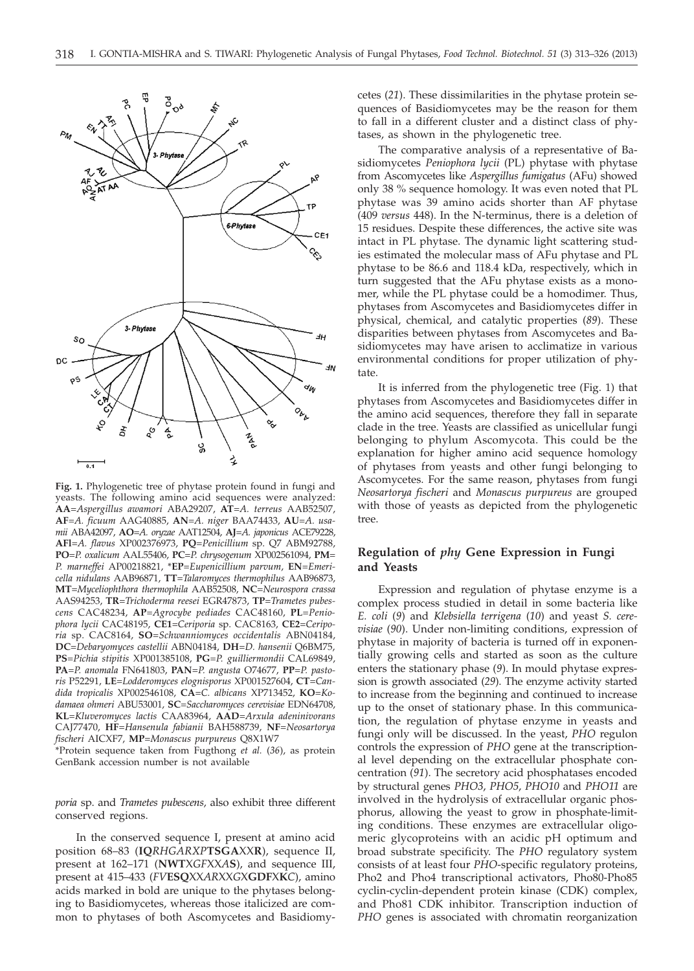

**Fig. 1.** Phylogenetic tree of phytase protein found in fungi and yeasts. The following amino acid sequences were analyzed: **AA**=*Aspergillus awamori* ABA29207, **AT**=*A. terreus* AAB52507, **AF**=*A. ficuum* AAG40885, **AN**=*A. niger* BAA74433, **AU**=*A. usamii* ABA42097, **AO**=*A. oryzae* AAT12504, **AJ**=*A. japonicus* ACE79228, **AFl**=*A. flavus* XP002376973, **PQ**=*Penicillium* sp. Q7 ABM92788, **PO**=*P. oxalicum* AAL55406, **PC**=*P. chrysogenum* XP002561094, **PM**= *P. marneffei* AP00218821, \***EP**=*Eupenicillium parvum*, **EN**=*Emericella nidulans* AAB96871, **TT**=*Talaromyces thermophilus* AAB96873, **MT**=*Myceliophthora thermophila* AAB52508, **NC**=*Neurospora crassa* AAS94253, **TR**=*Trichoderma reesei* EGR47873, **TP**=*Trametes pubescens* CAC48234, **AP**=*Agrocybe pediades* CAC48160, **PL**=*Peniophora lycii* CAC48195, **CE1**=*Ceriporia* sp. CAC8163, **CE2**=*Ceriporia* sp. CAC8164, **SO**=*Schwanniomyces occidentalis* ABN04184, **DC**=*Debaryomyces castellii* ABN04184, **DH**=*D. hansenii* Q6BM75, **PS**=*Pichia stipitis* XP001385108, **PG**=*P. guilliermondii* CAL69849, **PA**=*P. anomala* FN641803, **PAN**=*P. angusta* O74677, **PP**=*P. pastoris* P52291, **LE**=*Lodderomyces elognisporus* XP001527604, **CT**=*Candida tropicalis* XP002546108, **CA**=*C. albicans* XP713452, **KO**=*Kodamaea ohmeri* ABU53001, **SC**=*Saccharomyces cerevisiae* EDN64708, **KL**=*Kluveromyces lactis* CAA83964, **AAD**=*Arxula adeninivorans* CAJ77470, **HF**=*Hansenula fabianii* BAH588739, **NF**=*Neosartorya fischeri* AICXF7, **MP**=*Monascus purpureus* Q8X1W7

\*Protein sequence taken from Fugthong *et al.* (*36*), as protein GenBank accession number is not available

*poria* sp. and *Trametes pubescens,* also exhibit three different conserved regions.

In the conserved sequence I, present at amino acid position 68–83 (**IQ***RHGARXP***TSGA**XX**R**), sequence II, present at 162–171 (**NWT**X*GF*XX*A***S**), and sequence III, present at 415–433 (*FV***ESQ**XX*AR*XX*G*X**GDF**X**K***C*), amino acids marked in bold are unique to the phytases belonging to Basidiomycetes, whereas those italicized are common to phytases of both Ascomycetes and Basidiomycetes (*21*). These dissimilarities in the phytase protein sequences of Basidiomycetes may be the reason for them to fall in a different cluster and a distinct class of phytases, as shown in the phylogenetic tree.

The comparative analysis of a representative of Basidiomycetes *Peniophora lycii* (PL) phytase with phytase from Ascomycetes like *Aspergillus fumigatus* (AFu) showed only 38 % sequence homology. It was even noted that PL phytase was 39 amino acids shorter than AF phytase (409 *versus* 448). In the N-terminus, there is a deletion of 15 residues. Despite these differences, the active site was intact in PL phytase. The dynamic light scattering studies estimated the molecular mass of AFu phytase and PL phytase to be 86.6 and 118.4 kDa, respectively, which in turn suggested that the AFu phytase exists as a monomer, while the PL phytase could be a homodimer. Thus, phytases from Ascomycetes and Basidiomycetes differ in physical, chemical, and catalytic properties (*89*). These disparities between phytases from Ascomycetes and Basidiomycetes may have arisen to acclimatize in various environmental conditions for proper utilization of phytate.

It is inferred from the phylogenetic tree (Fig. 1) that phytases from Ascomycetes and Basidiomycetes differ in the amino acid sequences, therefore they fall in separate clade in the tree. Yeasts are classified as unicellular fungi belonging to phylum Ascomycota. This could be the explanation for higher amino acid sequence homology of phytases from yeasts and other fungi belonging to Ascomycetes. For the same reason, phytases from fungi *Neosartorya fischeri* and *Monascus purpureus* are grouped with those of yeasts as depicted from the phylogenetic tree.

# **Regulation of** *phy* **Gene Expression in Fungi and Yeasts**

Expression and regulation of phytase enzyme is a complex process studied in detail in some bacteria like *E. coli* (*9*) and *Klebsiella terrigena* (*10*) and yeast *S. cerevisiae* (*90*). Under non-limiting conditions, expression of phytase in majority of bacteria is turned off in exponentially growing cells and started as soon as the culture enters the stationary phase (*9*). In mould phytase expression is growth associated (*29*). The enzyme activity started to increase from the beginning and continued to increase up to the onset of stationary phase. In this communication, the regulation of phytase enzyme in yeasts and fungi only will be discussed. In the yeast, *PHO* regulon controls the expression of *PHO* gene at the transcriptional level depending on the extracellular phosphate concentration (*91*). The secretory acid phosphatases encoded by structural genes *PHO3*, *PHO5*, *PHO10* and *PHO11* are involved in the hydrolysis of extracellular organic phosphorus, allowing the yeast to grow in phosphate-limiting conditions. These enzymes are extracellular oligomeric glycoproteins with an acidic pH optimum and broad substrate specificity. The *PHO* regulatory system consists of at least four *PHO*-specific regulatory proteins, Pho2 and Pho4 transcriptional activators, Pho80-Pho85 cyclin-cyclin-dependent protein kinase (CDK) complex, and Pho81 CDK inhibitor. Transcription induction of *PHO* genes is associated with chromatin reorganization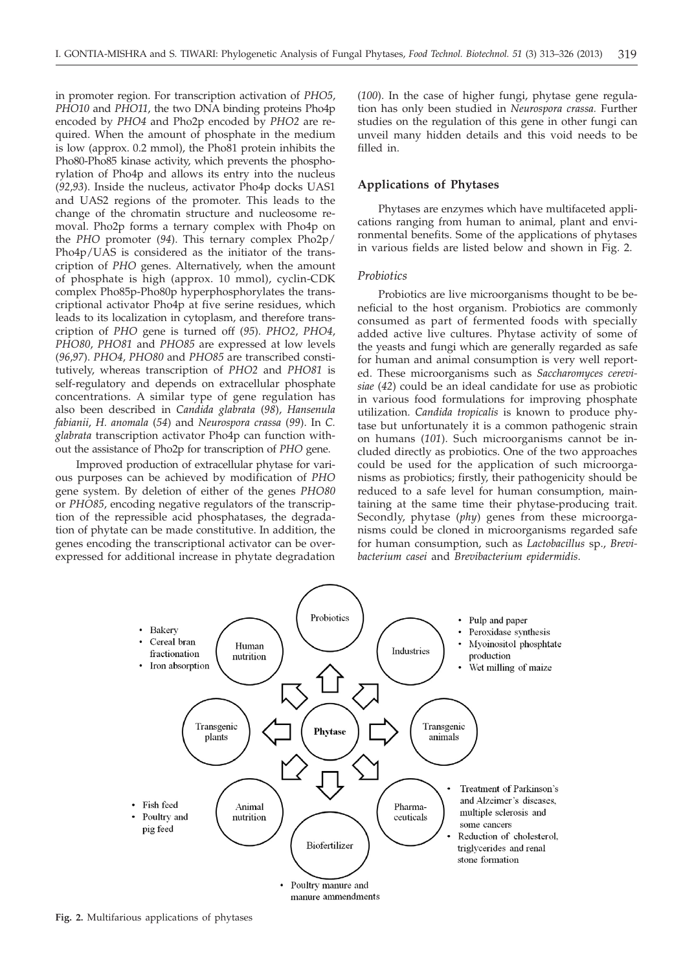in promoter region. For transcription activation of *PHO5*, *PHO10* and *PHO11*, the two DNA binding proteins Pho4p encoded by *PHO4* and Pho2p encoded by *PHO2* are required. When the amount of phosphate in the medium is low (approx. 0.2 mmol), the Pho81 protein inhibits the Pho80-Pho85 kinase activity, which prevents the phosphorylation of Pho4p and allows its entry into the nucleus (*92*,*93*). Inside the nucleus, activator Pho4p docks UAS1 and UAS2 regions of the promoter. This leads to the change of the chromatin structure and nucleosome removal. Pho2p forms a ternary complex with Pho4p on the *PHO* promoter (*94*). This ternary complex Pho2p/ Pho4p/UAS is considered as the initiator of the transcription of *PHO* genes. Alternatively, when the amount of phosphate is high (approx. 10 mmol), cyclin-CDK complex Pho85p-Pho80p hyperphosphorylates the transcriptional activator Pho4p at five serine residues, which leads to its localization in cytoplasm, and therefore transcription of *PHO* gene is turned off (*95*). *PHO2*, *PHO4*, *PHO80*, *PHO81* and *PHO85* are expressed at low levels (*96*,*97*). *PHO4*, *PHO80* and *PHO85* are transcribed constitutively, whereas transcription of *PHO2* and *PHO81* is self-regulatory and depends on extracellular phosphate concentrations. A similar type of gene regulation has also been described in *Candida glabrata* (*98*), *Hansenula fabianii*, *H. anomala* (*54*) and *Neurospora crassa* (*99*). In *C. glabrata* transcription activator Pho4p can function without the assistance of Pho2p for transcription of *PHO* gene.

Improved production of extracellular phytase for various purposes can be achieved by modification of *PHO* gene system. By deletion of either of the genes *PHO80* or *PHO85*, encoding negative regulators of the transcription of the repressible acid phosphatases, the degradation of phytate can be made constitutive. In addition, the genes encoding the transcriptional activator can be overexpressed for additional increase in phytate degradation

(*100*). In the case of higher fungi, phytase gene regulation has only been studied in *Neurospora crassa.* Further studies on the regulation of this gene in other fungi can unveil many hidden details and this void needs to be filled in.

# **Applications of Phytases**

Phytases are enzymes which have multifaceted applications ranging from human to animal, plant and environmental benefits. Some of the applications of phytases in various fields are listed below and shown in Fig. 2.

# *Probiotics*

Probiotics are live microorganisms thought to be beneficial to the host organism. Probiotics are commonly consumed as part of fermented foods with specially added active live cultures. Phytase activity of some of the yeasts and fungi which are generally regarded as safe for human and animal consumption is very well reported. These microorganisms such as *Saccharomyces cerevisiae* (*42*) could be an ideal candidate for use as probiotic in various food formulations for improving phosphate utilization. *Candida tropicalis* is known to produce phytase but unfortunately it is a common pathogenic strain on humans (*101*). Such microorganisms cannot be included directly as probiotics. One of the two approaches could be used for the application of such microorganisms as probiotics; firstly, their pathogenicity should be reduced to a safe level for human consumption, maintaining at the same time their phytase-producing trait. Secondly, phytase (*phy*) genes from these microorganisms could be cloned in microorganisms regarded safe for human consumption, such as *Lactobacillus* sp., *Brevibacterium casei* and *Brevibacterium epidermidis*.



**Fig. 2.** Multifarious applications of phytases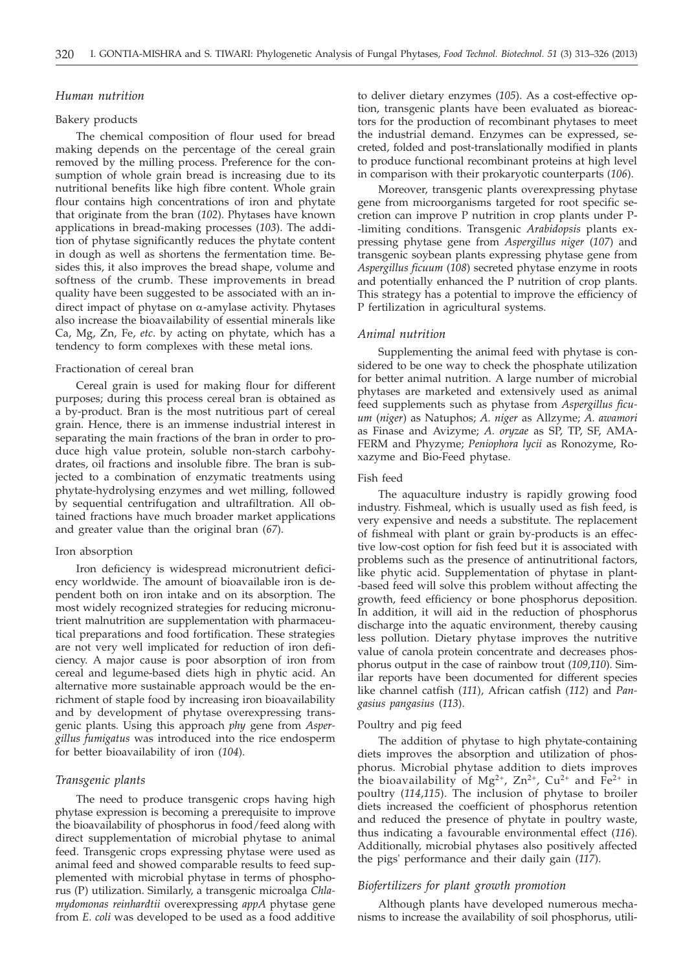### *Human nutrition*

#### Bakery products

The chemical composition of flour used for bread making depends on the percentage of the cereal grain removed by the milling process. Preference for the consumption of whole grain bread is increasing due to its nutritional benefits like high fibre content. Whole grain flour contains high concentrations of iron and phytate that originate from the bran (*102*). Phytases have known applications in bread-making processes (*103*). The addition of phytase significantly reduces the phytate content in dough as well as shortens the fermentation time. Besides this, it also improves the bread shape, volume and softness of the crumb. These improvements in bread quality have been suggested to be associated with an indirect impact of phytase on  $\alpha$ -amylase activity. Phytases also increase the bioavailability of essential minerals like Ca, Mg, Zn, Fe, *etc*. by acting on phytate, which has a tendency to form complexes with these metal ions.

# Fractionation of cereal bran

Cereal grain is used for making flour for different purposes; during this process cereal bran is obtained as a by-product. Bran is the most nutritious part of cereal grain. Hence, there is an immense industrial interest in separating the main fractions of the bran in order to produce high value protein, soluble non-starch carbohydrates, oil fractions and insoluble fibre. The bran is subjected to a combination of enzymatic treatments using phytate-hydrolysing enzymes and wet milling, followed by sequential centrifugation and ultrafiltration. All obtained fractions have much broader market applications and greater value than the original bran (*67*).

#### Iron absorption

Iron deficiency is widespread micronutrient deficiency worldwide. The amount of bioavailable iron is dependent both on iron intake and on its absorption. The most widely recognized strategies for reducing micronutrient malnutrition are supplementation with pharmaceutical preparations and food fortification. These strategies are not very well implicated for reduction of iron deficiency. A major cause is poor absorption of iron from cereal and legume-based diets high in phytic acid. An alternative more sustainable approach would be the enrichment of staple food by increasing iron bioavailability and by development of phytase overexpressing transgenic plants. Using this approach *phy* gene from *Aspergillus fumigatus* was introduced into the rice endosperm for better bioavailability of iron (*104*).

# *Transgenic plants*

The need to produce transgenic crops having high phytase expression is becoming a prerequisite to improve the bioavailability of phosphorus in food/feed along with direct supplementation of microbial phytase to animal feed. Transgenic crops expressing phytase were used as animal feed and showed comparable results to feed supplemented with microbial phytase in terms of phosphorus (P) utilization. Similarly, a transgenic microalga *Chlamydomonas reinhardtii* overexpressing *appA* phytase gene from *E. coli* was developed to be used as a food additive to deliver dietary enzymes (*105*). As a cost-effective option, transgenic plants have been evaluated as bioreactors for the production of recombinant phytases to meet the industrial demand. Enzymes can be expressed, secreted, folded and post-translationally modified in plants to produce functional recombinant proteins at high level in comparison with their prokaryotic counterparts (*106*).

Moreover, transgenic plants overexpressing phytase gene from microorganisms targeted for root specific secretion can improve P nutrition in crop plants under P- -limiting conditions. Transgenic *Arabidopsis* plants expressing phytase gene from *Aspergillus niger* (*107*) and transgenic soybean plants expressing phytase gene from *Aspergillus ficuum* (*108*) secreted phytase enzyme in roots and potentially enhanced the P nutrition of crop plants. This strategy has a potential to improve the efficiency of P fertilization in agricultural systems.

## *Animal nutrition*

Supplementing the animal feed with phytase is considered to be one way to check the phosphate utilization for better animal nutrition. A large number of microbial phytases are marketed and extensively used as animal feed supplements such as phytase from *Aspergillus ficuum* (*niger*) as Natuphos; *A. niger* as Allzyme; *A. awamori* as Finase and Avizyme; *A. oryzae* as SP, TP, SF, AMA-FERM and Phyzyme; *Peniophora lycii* as Ronozyme, Roxazyme and Bio-Feed phytase.

#### Fish feed

The aquaculture industry is rapidly growing food industry. Fishmeal, which is usually used as fish feed, is very expensive and needs a substitute. The replacement of fishmeal with plant or grain by-products is an effective low-cost option for fish feed but it is associated with problems such as the presence of antinutritional factors, like phytic acid. Supplementation of phytase in plant- -based feed will solve this problem without affecting the growth, feed efficiency or bone phosphorus deposition. In addition, it will aid in the reduction of phosphorus discharge into the aquatic environment, thereby causing less pollution. Dietary phytase improves the nutritive value of canola protein concentrate and decreases phosphorus output in the case of rainbow trout (*109,110*). Similar reports have been documented for different species like channel catfish (*111*), African catfish (*112*) and *Pangasius pangasius* (*113*).

## Poultry and pig feed

The addition of phytase to high phytate-containing diets improves the absorption and utilization of phosphorus. Microbial phytase addition to diets improves the bioavailability of Mg<sup>2+</sup>, Zn<sup>2+</sup>, Cu<sup>2+</sup> and Fe<sup>2+</sup> in poultry (*114*,*115*). The inclusion of phytase to broiler diets increased the coefficient of phosphorus retention and reduced the presence of phytate in poultry waste, thus indicating a favourable environmental effect (*116*). Additionally, microbial phytases also positively affected the pigs' performance and their daily gain (*117*).

# *Biofertilizers for plant growth promotion*

Although plants have developed numerous mechanisms to increase the availability of soil phosphorus, utili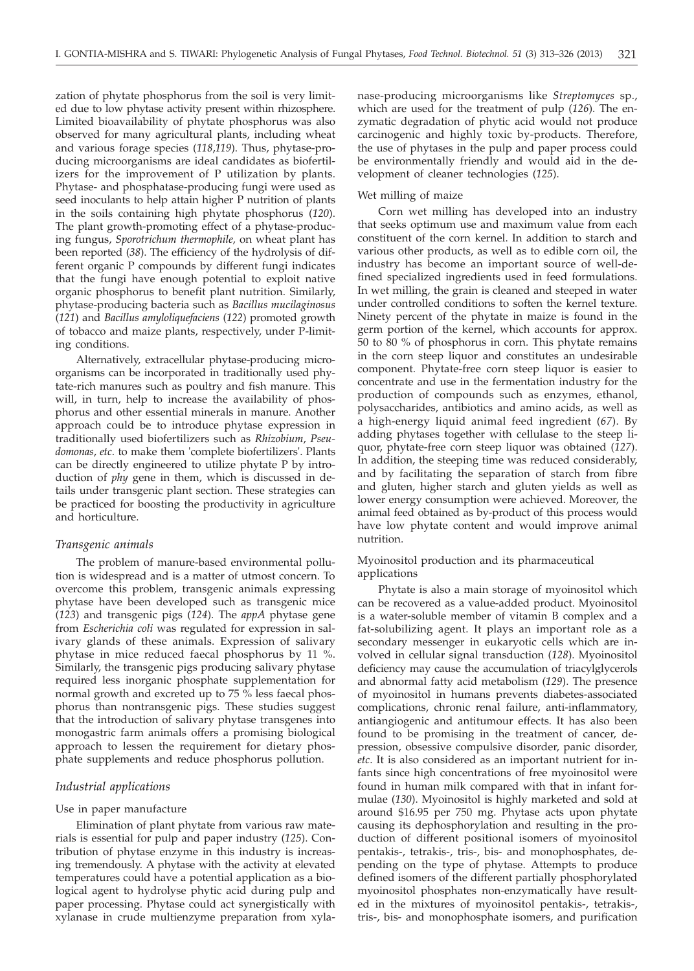zation of phytate phosphorus from the soil is very limited due to low phytase activity present within rhizosphere. Limited bioavailability of phytate phosphorus was also observed for many agricultural plants, including wheat and various forage species (*118*,*119*). Thus, phytase-producing microorganisms are ideal candidates as biofertilizers for the improvement of P utilization by plants. Phytase- and phosphatase-producing fungi were used as seed inoculants to help attain higher P nutrition of plants in the soils containing high phytate phosphorus (*120*). The plant growth-promoting effect of a phytase-producing fungus, *Sporotrichum thermophile,* on wheat plant has been reported (*38*). The efficiency of the hydrolysis of different organic P compounds by different fungi indicates that the fungi have enough potential to exploit native organic phosphorus to benefit plant nutrition. Similarly, phytase-producing bacteria such as *Bacillus mucilaginosus* (*121*) and *Bacillus amyloliquefaciens* (*122*) promoted growth of tobacco and maize plants, respectively, under P-limiting conditions.

Alternatively, extracellular phytase-producing microorganisms can be incorporated in traditionally used phytate-rich manures such as poultry and fish manure. This will, in turn, help to increase the availability of phosphorus and other essential minerals in manure. Another approach could be to introduce phytase expression in traditionally used biofertilizers such as *Rhizobium*, *Pseudomonas*, *etc*. to make them 'complete biofertilizers'. Plants can be directly engineered to utilize phytate P by introduction of *phy* gene in them, which is discussed in details under transgenic plant section. These strategies can be practiced for boosting the productivity in agriculture and horticulture.

## *Transgenic animals*

The problem of manure-based environmental pollution is widespread and is a matter of utmost concern. To overcome this problem, transgenic animals expressing phytase have been developed such as transgenic mice (*123*) and transgenic pigs (*124*). The *appA* phytase gene from *Escherichia coli* was regulated for expression in salivary glands of these animals. Expression of salivary phytase in mice reduced faecal phosphorus by 11 %. Similarly, the transgenic pigs producing salivary phytase required less inorganic phosphate supplementation for normal growth and excreted up to 75 % less faecal phosphorus than nontransgenic pigs. These studies suggest that the introduction of salivary phytase transgenes into monogastric farm animals offers a promising biological approach to lessen the requirement for dietary phosphate supplements and reduce phosphorus pollution.

# *Industrial applications*

## Use in paper manufacture

Elimination of plant phytate from various raw materials is essential for pulp and paper industry (*125*). Contribution of phytase enzyme in this industry is increasing tremendously. A phytase with the activity at elevated temperatures could have a potential application as a biological agent to hydrolyse phytic acid during pulp and paper processing. Phytase could act synergistically with xylanase in crude multienzyme preparation from xylanase-producing microorganisms like *Streptomyces* sp., which are used for the treatment of pulp (*126*). The enzymatic degradation of phytic acid would not produce carcinogenic and highly toxic by-products. Therefore, the use of phytases in the pulp and paper process could be environmentally friendly and would aid in the development of cleaner technologies (*125*).

#### Wet milling of maize

Corn wet milling has developed into an industry that seeks optimum use and maximum value from each constituent of the corn kernel. In addition to starch and various other products, as well as to edible corn oil, the industry has become an important source of well-defined specialized ingredients used in feed formulations. In wet milling, the grain is cleaned and steeped in water under controlled conditions to soften the kernel texture. Ninety percent of the phytate in maize is found in the germ portion of the kernel, which accounts for approx. 50 to 80 % of phosphorus in corn. This phytate remains in the corn steep liquor and constitutes an undesirable component. Phytate-free corn steep liquor is easier to concentrate and use in the fermentation industry for the production of compounds such as enzymes, ethanol, polysaccharides, antibiotics and amino acids, as well as a high-energy liquid animal feed ingredient (*67*). By adding phytases together with cellulase to the steep liquor, phytate-free corn steep liquor was obtained (*127*). In addition, the steeping time was reduced considerably, and by facilitating the separation of starch from fibre and gluten, higher starch and gluten yields as well as lower energy consumption were achieved. Moreover, the animal feed obtained as by-product of this process would have low phytate content and would improve animal nutrition.

# Myoinositol production and its pharmaceutical applications

Phytate is also a main storage of myoinositol which can be recovered as a value-added product. Myoinositol is a water-soluble member of vitamin B complex and a fat-solubilizing agent. It plays an important role as a secondary messenger in eukaryotic cells which are involved in cellular signal transduction (*128*). Myoinositol deficiency may cause the accumulation of triacylglycerols and abnormal fatty acid metabolism (*129*). The presence of myoinositol in humans prevents diabetes-associated complications, chronic renal failure, anti-inflammatory, antiangiogenic and antitumour effects. It has also been found to be promising in the treatment of cancer, depression, obsessive compulsive disorder, panic disorder, *etc*. It is also considered as an important nutrient for infants since high concentrations of free myoinositol were found in human milk compared with that in infant formulae (*130*). Myoinositol is highly marketed and sold at around \$16.95 per 750 mg. Phytase acts upon phytate causing its dephosphorylation and resulting in the production of different positional isomers of myoinositol pentakis-, tetrakis-, tris-, bis- and monophosphates, depending on the type of phytase. Attempts to produce defined isomers of the different partially phosphorylated myoinositol phosphates non-enzymatically have resulted in the mixtures of myoinositol pentakis-, tetrakis-, tris-, bis- and monophosphate isomers, and purification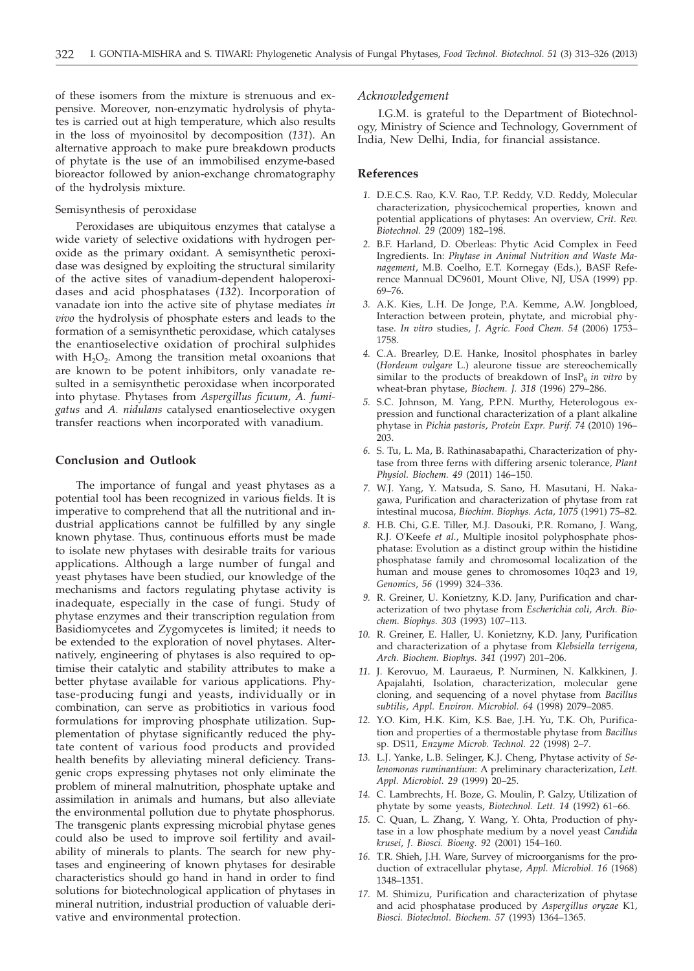of these isomers from the mixture is strenuous and expensive. Moreover, non-enzymatic hydrolysis of phytates is carried out at high temperature, which also results in the loss of myoinositol by decomposition (*131*). An alternative approach to make pure breakdown products of phytate is the use of an immobilised enzyme-based bioreactor followed by anion-exchange chromatography of the hydrolysis mixture.

#### Semisynthesis of peroxidase

Peroxidases are ubiquitous enzymes that catalyse a wide variety of selective oxidations with hydrogen peroxide as the primary oxidant. A semisynthetic peroxidase was designed by exploiting the structural similarity of the active sites of vanadium-dependent haloperoxidases and acid phosphatases (*132*). Incorporation of vanadate ion into the active site of phytase mediates *in vivo* the hydrolysis of phosphate esters and leads to the formation of a semisynthetic peroxidase, which catalyses the enantioselective oxidation of prochiral sulphides with  $H_2O_2$ . Among the transition metal oxoanions that are known to be potent inhibitors, only vanadate resulted in a semisynthetic peroxidase when incorporated into phytase. Phytases from *Aspergillus ficuum*, *A. fumigatus* and *A. nidulans* catalysed enantioselective oxygen transfer reactions when incorporated with vanadium.

# **Conclusion and Outlook**

The importance of fungal and yeast phytases as a potential tool has been recognized in various fields. It is imperative to comprehend that all the nutritional and industrial applications cannot be fulfilled by any single known phytase. Thus, continuous efforts must be made to isolate new phytases with desirable traits for various applications. Although a large number of fungal and yeast phytases have been studied, our knowledge of the mechanisms and factors regulating phytase activity is inadequate, especially in the case of fungi. Study of phytase enzymes and their transcription regulation from Basidiomycetes and Zygomycetes is limited; it needs to be extended to the exploration of novel phytases. Alternatively, engineering of phytases is also required to optimise their catalytic and stability attributes to make a better phytase available for various applications. Phytase-producing fungi and yeasts, individually or in combination, can serve as probitiotics in various food formulations for improving phosphate utilization. Supplementation of phytase significantly reduced the phytate content of various food products and provided health benefits by alleviating mineral deficiency. Transgenic crops expressing phytases not only eliminate the problem of mineral malnutrition, phosphate uptake and assimilation in animals and humans, but also alleviate the environmental pollution due to phytate phosphorus. The transgenic plants expressing microbial phytase genes could also be used to improve soil fertility and availability of minerals to plants. The search for new phytases and engineering of known phytases for desirable characteristics should go hand in hand in order to find solutions for biotechnological application of phytases in mineral nutrition, industrial production of valuable derivative and environmental protection.

## *Acknowledgement*

I.G.M. is grateful to the Department of Biotechnology, Ministry of Science and Technology, Government of India, New Delhi, India, for financial assistance.

## **References**

- *1.* D.E.C.S. Rao, K.V. Rao, T.P. Reddy, V.D. Reddy, Molecular characterization, physicochemical properties, known and potential applications of phytases: An overview, *Crit. Rev. Biotechnol. 29* (2009) 182–198.
- *2.* B.F. Harland, D. Oberleas: Phytic Acid Complex in Feed Ingredients. In: *Phytase in Animal Nutrition and Waste Management*, M.B. Coelho, E.T. Kornegay (Eds.), BASF Reference Mannual DC9601, Mount Olive, NJ, USA (1999) pp. 69–76.
- *3.* A.K. Kies, L.H. De Jonge, P.A. Kemme, A.W. Jongbloed, Interaction between protein, phytate, and microbial phytase. *In vitro* studies, *J. Agric. Food Chem. 54* (2006) 1753– 1758.
- *4.* C.A. Brearley, D.E. Hanke, Inositol phosphates in barley (*Hordeum vulgare* L.) aleurone tissue are stereochemically similar to the products of breakdown of  $InsP<sub>6</sub>$  *in vitro* by wheat-bran phytase, *Biochem. J. 318* (1996) 279–286.
- *5.* S.C. Johnson, M. Yang, P.P.N. Murthy, Heterologous expression and functional characterization of a plant alkaline phytase in *Pichia pastoris*, *Protein Expr. Purif. 74* (2010) 196– 203.
- *6.* S. Tu, L. Ma, B. Rathinasabapathi, Characterization of phytase from three ferns with differing arsenic tolerance, *Plant Physiol. Biochem. 49* (2011) 146–150.
- *7.* W.J. Yang, Y. Matsuda, S. Sano, H. Masutani, H. Nakagawa, Purification and characterization of phytase from rat intestinal mucosa, *Biochim. Biophys. Acta*, *1075* (1991) 75–82.
- *8.* H.B. Chi, G.E. Tiller, M.J. Dasouki, P.R. Romano, J. Wang, R.J. O'Keefe *et al.*, Multiple inositol polyphosphate phosphatase: Evolution as a distinct group within the histidine phosphatase family and chromosomal localization of the human and mouse genes to chromosomes 10q23 and 19, *Genomics*, *56* (1999) 324–336.
- *9.* R. Greiner, U. Konietzny, K.D. Jany, Purification and characterization of two phytase from *Escherichia coli*, *Arch. Biochem. Biophys. 303* (1993) 107–113.
- *10.* R. Greiner, E. Haller, U. Konietzny, K.D. Jany, Purification and characterization of a phytase from *Klebsiella terrigena*, *Arch. Biochem. Biophys. 341* (1997) 201–206.
- *11.* J. Kerovuo, M. Lauraeus, P. Nurminen, N. Kalkkinen, J. Apajalahti, Isolation, characterization, molecular gene cloning, and sequencing of a novel phytase from *Bacillus subtilis*, *Appl. Environ. Microbiol. 64* (1998) 2079–2085.
- *12.* Y.O. Kim, H.K. Kim, K.S. Bae, J.H. Yu, T.K. Oh, Purification and properties of a thermostable phytase from *Bacillus* sp. DS11, *Enzyme Microb. Technol. 22* (1998) 2–7.
- *13.* L.J. Yanke, L.B. Selinger, K.J. Cheng, Phytase activity of *Selenomonas ruminantium*: A preliminary characterization, *Lett. Appl. Microbiol. 29* (1999) 20–25.
- *14.* C. Lambrechts, H. Boze, G. Moulin, P. Galzy, Utilization of phytate by some yeasts, *Biotechnol. Lett. 14* (1992) 61–66.
- *15.* C. Quan, L. Zhang, Y. Wang, Y. Ohta, Production of phytase in a low phosphate medium by a novel yeast *Candida krusei*, *J. Biosci. Bioeng. 92* (2001) 154–160.
- *16.* T.R. Shieh, J.H. Ware, Survey of microorganisms for the production of extracellular phytase, *Appl. Microbiol. 16* (1968) 1348–1351.
- *17.* M. Shimizu, Purification and characterization of phytase and acid phosphatase produced by *Aspergillus oryzae* K1, *Biosci. Biotechnol. Biochem. 57* (1993) 1364–1365.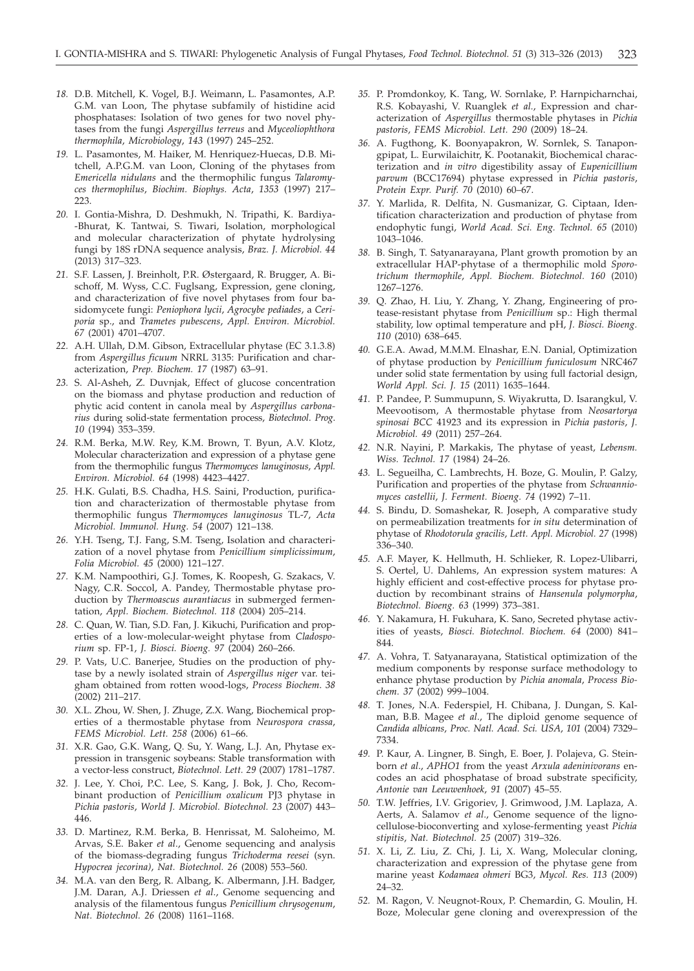- *18.* D.B. Mitchell, K. Vogel, B.J. Weimann, L. Pasamontes, A.P. G.M. van Loon, The phytase subfamily of histidine acid phosphatases: Isolation of two genes for two novel phytases from the fungi *Aspergillus terreus* and *Myceoliophthora thermophila*, *Microbiology*, *143* (1997) 245–252.
- *19.* L. Pasamontes, M. Haiker, M. Henriquez-Huecas, D.B. Mitchell, A.P.G.M. van Loon, Cloning of the phytases from *Emericella nidulans* and the thermophilic fungus *Talaromyces thermophilus*, *Biochim. Biophys. Acta*, *1353* (1997) 217– 223.
- *20.* I. Gontia-Mishra, D. Deshmukh, N. Tripathi, K. Bardiya- -Bhurat, K. Tantwai, S. Tiwari, Isolation, morphological and molecular characterization of phytate hydrolysing fungi by 18S rDNA sequence analysis, *Braz. J. Microbiol. 44* (2013) 317–323.
- *21.* S.F. Lassen, J. Breinholt, P.R. Østergaard, R. Brugger, A. Bischoff, M. Wyss, C.C. Fuglsang, Expression, gene cloning, and characterization of five novel phytases from four basidomycete fungi: *Peniophora lycii*, *Agrocybe pediades*, a *Ceriporia* sp., and *Trametes pubescens*, *Appl. Environ. Microbiol. 67* (2001) 4701–4707.
- *22.* A.H. Ullah, D.M. Gibson, Extracellular phytase (EC 3.1.3.8) from *Aspergillus ficuum* NRRL 3135: Purification and characterization, *Prep. Biochem. 17* (1987) 63–91.
- *23.* S. Al-Asheh, Z. Duvnjak, Effect of glucose concentration on the biomass and phytase production and reduction of phytic acid content in canola meal by *Aspergillus carbonarius* during solid-state fermentation process, *Biotechnol*. *Prog*. *10* (1994) 353–359.
- *24.* R.M. Berka, M.W. Rey, K.M. Brown, T. Byun, A.V. Klotz, Molecular characterization and expression of a phytase gene from the thermophilic fungus *Thermomyces lanuginosus*, *Appl. Environ. Microbiol. 64* (1998) 4423–4427.
- *25.* H.K. Gulati, B.S. Chadha, H.S. Saini, Production, purification and characterization of thermostable phytase from thermophilic fungus *Thermomyces lanuginosus* TL-7, *Acta Microbiol. Immunol. Hung. 54* (2007) 121–138.
- *26.* Y.H. Tseng, T.J. Fang, S.M. Tseng, Isolation and characterization of a novel phytase from *Penicillium simplicissimum*, *Folia Microbiol. 45* (2000) 121–127.
- *27.* K.M. Nampoothiri, G.J. Tomes, K. Roopesh, G. Szakacs, V. Nagy, C.R. Soccol, A. Pandey, Thermostable phytase production by *Thermoascus aurantiacus* in submerged fermentation, *Appl. Biochem. Biotechnol. 118* (2004) 205–214.
- *28.* C. Quan, W. Tian, S.D. Fan, J. Kikuchi, Purification and properties of a low-molecular-weight phytase from *Cladosporium* sp. FP-1, *J. Biosci. Bioeng. 97* (2004) 260–266.
- *29.* P. Vats, U.C. Banerjee, Studies on the production of phytase by a newly isolated strain of *Aspergillus niger* var. teigham obtained from rotten wood-logs, *Process Biochem*. *38* (2002) 211–217.
- *30.* X.L. Zhou, W. Shen, J. Zhuge, Z.X. Wang, Biochemical properties of a thermostable phytase from *Neurospora crassa*, *FEMS Microbiol. Lett. 258* (2006) 61–66.
- *31.* X.R. Gao, G.K. Wang, Q. Su, Y. Wang, L.J. An, Phytase expression in transgenic soybeans: Stable transformation with a vector-less construct, *Biotechnol. Lett. 29* (2007) 1781–1787.
- *32.* J. Lee, Y. Choi, P.C. Lee, S. Kang, J. Bok, J. Cho, Recombinant production of *Penicillium oxalicum* PJ3 phytase in *Pichia pastoris*, *World J. Microbiol. Biotechnol. 23* (2007) 443– 446.
- *33.* D. Martinez, R.M. Berka, B. Henrissat, M. Saloheimo, M. Arvas, S.E. Baker *et al*., Genome sequencing and analysis of the biomass-degrading fungus *Trichoderma reesei* (syn. *Hypocrea jecorina)*, *Nat. Biotechnol. 26* (2008) 553–560.
- *34.* M.A. van den Berg, R. Albang, K. Albermann, J.H. Badger, J.M. Daran, A.J. Driessen *et al*., Genome sequencing and analysis of the filamentous fungus *Penicillium chrysogenum*, *Nat. Biotechnol. 26* (2008) 1161–1168.
- *35.* P. Promdonkoy, K. Tang, W. Sornlake, P. Harnpicharnchai, R.S. Kobayashi, V. Ruanglek *et al.*, Expression and characterization of *Aspergillus* thermostable phytases in *Pichia pastoris*, *FEMS Microbiol. Lett. 290* (2009) 18–24.
- *36.* A. Fugthong, K. Boonyapakron, W. Sornlek, S. Tanapongpipat, L. Eurwilaichitr, K. Pootanakit, Biochemical characterization and *in vitro* digestibility assay of *Eupenicillium parvum* (BCC17694) phytase expressed in *Pichia pastoris*, *Protein Expr. Purif. 70* (2010) 60–67.
- *37.* Y. Marlida, R. Delfita, N. Gusmanizar, G. Ciptaan, Identification characterization and production of phytase from endophytic fungi, *World Acad. Sci. Eng. Technol. 65* (2010) 1043–1046.
- *38.* B. Singh, T. Satyanarayana, Plant growth promotion by an extracellular HAP-phytase of a thermophilic mold *Sporotrichum thermophile*, *Appl. Biochem. Biotechnol. 160* (2010) 1267–1276.
- *39.* Q. Zhao, H. Liu, Y. Zhang, Y. Zhang, Engineering of protease-resistant phytase from *Penicillium* sp.: High thermal stability, low optimal temperature and pH, *J. Biosci. Bioeng. 110* (2010) 638–645.
- *40.* G.E.A. Awad, M.M.M. Elnashar, E.N. Danial, Optimization of phytase production by *Penicillium funiculosum* NRC467 under solid state fermentation by using full factorial design, *World Appl. Sci. J. 15* (2011) 1635–1644.
- *41.* P. Pandee, P. Summupunn, S. Wiyakrutta, D. Isarangkul, V. Meevootisom, A thermostable phytase from *Neosartorya spinosai BCC* 41923 and its expression in *Pichia pastoris*, *J. Microbiol. 49* (2011) 257–264.
- *42.* N.R. Nayini, P. Markakis, The phytase of yeast, *Lebensm. Wiss. Technol. 17* (1984) 24–26.
- *43.* L. Segueilha, C. Lambrechts, H. Boze, G. Moulin, P. Galzy, Purification and properties of the phytase from *Schwanniomyces castellii*, *J. Ferment. Bioeng. 74* (1992) 7–11.
- *44.* S. Bindu, D. Somashekar, R. Joseph, A comparative study on permeabilization treatments for *in situ* determination of phytase of *Rhodotorula gracilis*, *Lett. Appl. Microbiol. 27* (1998) 336–340.
- *45.* A.F. Mayer, K. Hellmuth, H. Schlieker, R. Lopez-Ulibarri, S. Oertel, U. Dahlems, An expression system matures: A highly efficient and cost-effective process for phytase production by recombinant strains of *Hansenula polymorpha*, *Biotechnol. Bioeng. 63* (1999) 373–381.
- *46.* Y. Nakamura, H. Fukuhara, K. Sano, Secreted phytase activities of yeasts, *Biosci. Biotechnol. Biochem. 64* (2000) 841– 844.
- *47.* A. Vohra, T. Satyanarayana, Statistical optimization of the medium components by response surface methodology to enhance phytase production by *Pichia anomala*, *Process Biochem. 37* (2002) 999–1004.
- *48.* T. Jones, N.A. Federspiel, H. Chibana, J. Dungan, S. Kalman, B.B. Magee *et al*., The diploid genome sequence of *Candida albicans*, *Proc. Natl. Acad. Sci. USA*, *101* (2004) 7329– 7334.
- *49.* P. Kaur, A. Lingner, B. Singh, E. Boer, J. Polajeva, G. Steinborn *et al*., *APHO1* from the yeast *Arxula adeninivorans* encodes an acid phosphatase of broad substrate specificity, *Antonie van Leeuwenhoek*, *91* (2007) 45–55.
- *50.* T.W. Jeffries, I.V. Grigoriev, J. Grimwood, J.M. Laplaza, A. Aerts, A. Salamov *et al*., Genome sequence of the lignocellulose-bioconverting and xylose-fermenting yeast *Pichia stipitis*, *Nat. Biotechnol. 25* (2007) 319–326.
- *51.* X. Li, Z. Liu, Z. Chi, J. Li, X. Wang, Molecular cloning, characterization and expression of the phytase gene from marine yeast *Kodamaea ohmeri* BG3, *Mycol. Res. 113* (2009) 24–32.
- *52.* M. Ragon, V. Neugnot-Roux, P. Chemardin, G. Moulin, H. Boze, Molecular gene cloning and overexpression of the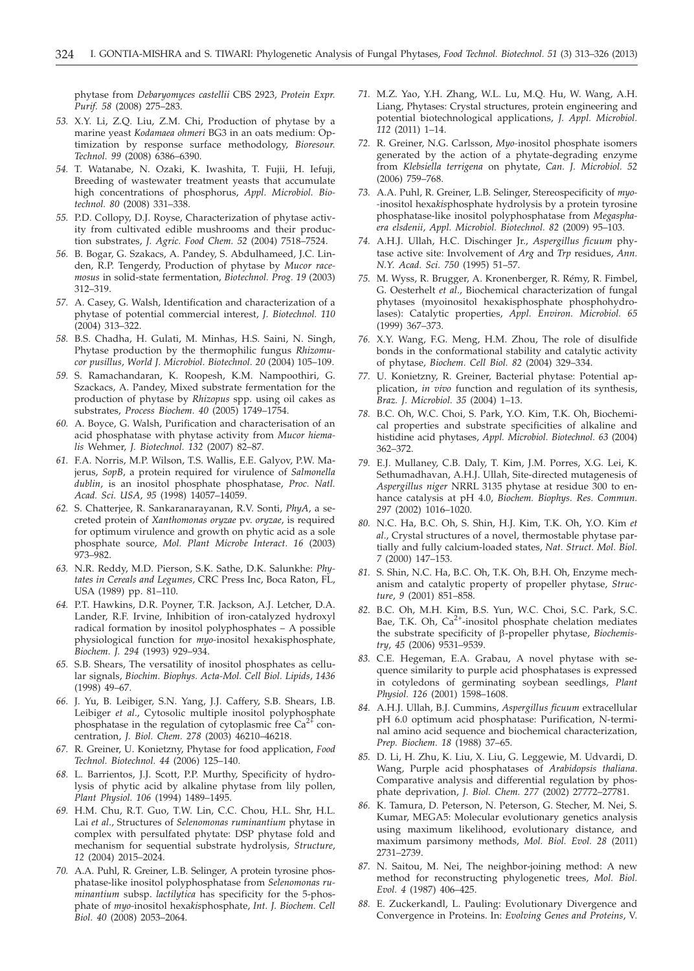phytase from *Debaryomyces castellii* CBS 2923, *Protein Expr. Purif. 58* (2008) 275–283.

- *53.* X.Y. Li, Z.Q. Liu, Z.M. Chi, Production of phytase by a marine yeast *Kodamaea ohmeri* BG3 in an oats medium: Optimization by response surface methodology, *Bioresour. Technol. 99* (2008) 6386–6390.
- *54.* T. Watanabe, N. Ozaki, K. Iwashita, T. Fujii, H. Iefuji, Breeding of wastewater treatment yeasts that accumulate high concentrations of phosphorus, *Appl. Microbiol. Biotechnol. 80* (2008) 331–338.
- *55.* P.D. Collopy, D.J. Royse, Characterization of phytase activity from cultivated edible mushrooms and their production substrates, *J. Agric. Food Chem. 52* (2004) 7518–7524.
- *56.* B. Bogar, G. Szakacs, A. Pandey, S. Abdulhameed, J.C. Linden, R.P. Tengerdy, Production of phytase by *Mucor racemosus* in solid-state fermentation, *Biotechnol. Prog. 19* (2003) 312–319.
- *57.* A. Casey, G. Walsh, Identification and characterization of a phytase of potential commercial interest, *J. Biotechnol. 110* (2004) 313–322.
- *58.* B.S. Chadha, H. Gulati, M. Minhas, H.S. Saini, N. Singh, Phytase production by the thermophilic fungus *Rhizomucor pusillus*, *World J. Microbiol. Biotechnol. 20* (2004) 105–109.
- *59.* S. Ramachandaran, K. Roopesh, K.M. Nampoothiri, G. Szackacs, A. Pandey, Mixed substrate fermentation for the production of phytase by *Rhizopus* spp. using oil cakes as substrates, *Process Biochem. 40* (2005) 1749–1754.
- *60.* A. Boyce, G. Walsh, Purification and characterisation of an acid phosphatase with phytase activity from *Mucor hiemalis* Wehmer, *J. Biotechnol. 132* (2007) 82–87.
- *61.* F.A. Norris, M.P. Wilson, T.S. Wallis, E.E. Galyov, P.W. Majerus, *SopB*, a protein required for virulence of *Salmonella dublin*, is an inositol phosphate phosphatase, *Proc. Natl. Acad. Sci. USA*, *95* (1998) 14057–14059.
- *62.* S. Chatterjee, R. Sankaranarayanan, R.V. Sonti, *PhyA*, a secreted protein of *Xanthomonas oryzae* pv. *oryzae*, is required for optimum virulence and growth on phytic acid as a sole phosphate source, *Mol. Plant Microbe Interact. 16* (2003) 973–982.
- *63.* N.R. Reddy, M.D. Pierson, S.K. Sathe, D.K. Salunkhe: *Phytates in Cereals and Legumes,* CRC Press Inc, Boca Raton, FL, USA (1989) pp. 81–110.
- *64.* P.T. Hawkins, D.R. Poyner, T.R. Jackson, A.J. Letcher, D.A. Lander, R.F. Irvine, Inhibition of iron-catalyzed hydroxyl radical formation by inositol polyphosphates – A possible physiological function for *myo-*inositol hexakisphosphate, *Biochem. J. 294* (1993) 929–934.
- *65.* S.B. Shears, The versatility of inositol phosphates as cellular signals, *Biochim. Biophys. Acta-Mol. Cell Biol. Lipids*, *1436* (1998) 49–67.
- *66.* J. Yu, B. Leibiger, S.N. Yang, J.J. Caffery, S.B. Shears, I.B. Leibiger *et al*., Cytosolic multiple inositol polyphosphate phosphatase in the regulation of cytoplasmic free  $Ca^{2+}$  concentration, *J. Biol. Chem. 278* (2003) 46210–46218.
- *67.* R. Greiner, U. Konietzny, Phytase for food application, *Food Technol. Biotechnol. 44* (2006) 125–140.
- *68.* L. Barrientos, J.J. Scott, P.P. Murthy, Specificity of hydrolysis of phytic acid by alkaline phytase from lily pollen, *Plant Physiol. 106* (1994) 1489–1495.
- *69.* H.M. Chu, R.T. Guo, T.W. Lin, C.C. Chou, H.L. Shr, H.L. Lai *et al*., Structures of *Selenomonas ruminantium* phytase in complex with persulfated phytate: DSP phytase fold and mechanism for sequential substrate hydrolysis, *Structure*, *12* (2004) 2015–2024.
- *70.* A.A. Puhl, R. Greiner, L.B. Selinger, A protein tyrosine phosphatase-like inositol polyphosphatase from *Selenomonas ruminantium* subsp. *lactilytica* has specificity for the 5-phosphate of *myo-*inositol hexa*kis*phosphate, *Int. J. Biochem. Cell Biol. 40* (2008) 2053–2064.
- *71.* M.Z. Yao, Y.H. Zhang, W.L. Lu, M.Q. Hu, W. Wang, A.H. Liang, Phytases: Crystal structures, protein engineering and potential biotechnological applications, *J. Appl. Microbiol. 112* (2011) 1–14.
- *72.* R. Greiner, N.G. Carlsson, *Myo-*inositol phosphate isomers generated by the action of a phytate-degrading enzyme from *Klebsiella terrigena* on phytate, *Can. J. Microbiol. 52* (2006) 759–768.
- *73.* A.A. Puhl, R. Greiner, L.B. Selinger, Stereospecificity of *myo- -*inositol hexa*kis*phosphate hydrolysis by a protein tyrosine phosphatase-like inositol polyphosphatase from *Megasphaera elsdenii*, *Appl. Microbiol. Biotechnol. 82* (2009) 95–103.
- *74.* A.H.J. Ullah, H.C. Dischinger Jr., *Aspergillus ficuum* phytase active site: Involvement of *Arg* and *Trp* residues, *Ann. N.Y. Acad. Sci. 750* (1995) 51–57.
- *75.* M. Wyss, R. Brugger, A. Kronenberger, R. Rémy, R. Fimbel, G. Oesterhelt *et al*., Biochemical characterization of fungal phytases (myoinositol hexakisphosphate phosphohydrolases): Catalytic properties, *Appl. Environ. Microbiol. 65* (1999) 367–373.
- *76.* X.Y. Wang, F.G. Meng, H.M. Zhou, The role of disulfide bonds in the conformational stability and catalytic activity of phytase, *Biochem. Cell Biol. 82* (2004) 329–334.
- *77.* U. Konietzny, R. Greiner, Bacterial phytase: Potential application, *in vivo* function and regulation of its synthesis, *Braz. J. Microbiol. 35* (2004) 1–13.
- *78.* B.C. Oh, W.C. Choi, S. Park, Y.O. Kim, T.K. Oh, Biochemical properties and substrate specificities of alkaline and histidine acid phytases, *Appl. Microbiol. Biotechnol. 63* (2004) 362–372.
- *79.* E.J. Mullaney, C.B. Daly, T. Kim, J.M. Porres, X.G. Lei, K. Sethumadhavan, A.H.J. Ullah, Site-directed mutagenesis of *Aspergillus niger* NRRL 3135 phytase at residue 300 to enhance catalysis at pH 4.0, *Biochem. Biophys. Res. Commun. 297* (2002) 1016–1020.
- *80.* N.C. Ha, B.C. Oh, S. Shin, H.J. Kim, T.K. Oh, Y.O. Kim *et al*., Crystal structures of a novel, thermostable phytase partially and fully calcium-loaded states, *Nat. Struct. Mol. Biol. 7* (2000) 147–153.
- *81.* S. Shin, N.C. Ha, B.C. Oh, T.K. Oh, B.H. Oh, Enzyme mechanism and catalytic property of propeller phytase, *Structure*, *9* (2001) 851–858.
- *82.* B.C. Oh, M.H. Kim, B.S. Yun, W.C. Choi, S.C. Park, S.C. Bae, T.K. Oh,  $Ca^{2+}$ -inositol phosphate chelation mediates the substrate specificity of b-propeller phytase, *Biochemistry*, *45* (2006) 9531–9539.
- *83.* C.E. Hegeman, E.A. Grabau, A novel phytase with sequence similarity to purple acid phosphatases is expressed in cotyledons of germinating soybean seedlings, *Plant Physiol. 126* (2001) 1598–1608.
- *84.* A.H.J. Ullah, B.J. Cummins, *Aspergillus ficuum* extracellular pH 6.0 optimum acid phosphatase: Purification, N-terminal amino acid sequence and biochemical characterization, *Prep. Biochem. 18* (1988) 37–65.
- *85.* D. Li, H. Zhu, K. Liu, X. Liu, G. Leggewie, M. Udvardi, D. Wang, Purple acid phosphatases of *Arabidopsis thaliana*. Comparative analysis and differential regulation by phosphate deprivation, *J. Biol. Chem. 277* (2002) 27772–27781.
- *86.* K. Tamura, D. Peterson, N. Peterson, G. Stecher, M. Nei, S. Kumar, MEGA5: Molecular evolutionary genetics analysis using maximum likelihood, evolutionary distance, and maximum parsimony methods, *Mol. Biol. Evol. 28* (2011) 2731–2739.
- *87.* N. Saitou, M. Nei, The neighbor-joining method: A new method for reconstructing phylogenetic trees, *Mol. Biol. Evol. 4* (1987) 406–425.
- *88.* E. Zuckerkandl, L. Pauling: Evolutionary Divergence and Convergence in Proteins. In: *Evolving Genes and Proteins*, V.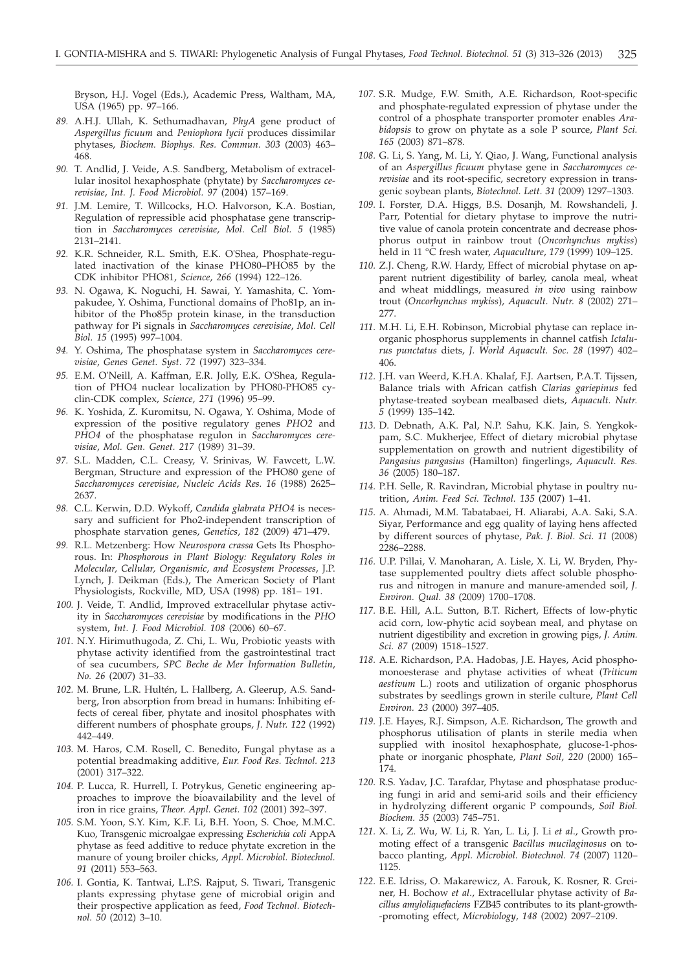Bryson, H.J. Vogel (Eds.), Academic Press, Waltham, MA, USA (1965) pp. 97–166.

- *89.* A.H.J. Ullah, K. Sethumadhavan, *PhyA* gene product of *Aspergillus ficuum* and *Peniophora lycii* produces dissimilar phytases, *Biochem. Biophys. Res. Commun. 303* (2003) 463– 468.
- *90.* T. Andlid, J. Veide, A.S. Sandberg, Metabolism of extracellular inositol hexaphosphate (phytate) by *Saccharomyces cerevisiae*, *Int. J. Food Microbiol. 97* (2004) 157–169.
- *91.* J.M. Lemire, T. Willcocks, H.O. Halvorson, K.A. Bostian, Regulation of repressible acid phosphatase gene transcription in *Saccharomyces cerevisiae*, *Mol. Cell Biol. 5* (1985) 2131–2141.
- *92.* K.R. Schneider, R.L. Smith, E.K. O'Shea, Phosphate-regulated inactivation of the kinase PHO80–PHO85 by the CDK inhibitor PHO81, *Science*, *266* (1994) 122–126.
- *93.* N. Ogawa, K. Noguchi, H. Sawai, Y. Yamashita, C. Yompakudee, Y. Oshima, Functional domains of Pho81p, an inhibitor of the Pho85p protein kinase, in the transduction pathway for Pi signals in *Saccharomyces cerevisiae*, *Mol. Cell Biol. 15* (1995) 997–1004.
- *94.* Y. Oshima, The phosphatase system in *Saccharomyces cerevisiae*, *Genes Genet. Syst. 72* (1997) 323–334.
- *95.* E.M. O'Neill, A. Kaffman, E.R. Jolly, E.K. O'Shea, Regulation of PHO4 nuclear localization by PHO80-PHO85 cyclin-CDK complex, *Science*, *271* (1996) 95–99.
- *96.* K. Yoshida, Z. Kuromitsu, N. Ogawa, Y. Oshima, Mode of expression of the positive regulatory genes *PHO2* and *PHO4* of the phosphatase regulon in *Saccharomyces cerevisiae*, *Mol. Gen. Genet. 217* (1989) 31–39.
- *97.* S.L. Madden, C.L. Creasy, V. Srinivas, W. Fawcett, L.W. Bergman, Structure and expression of the PHO80 gene of *Saccharomyces cerevisiae*, *Nucleic Acids Res. 16* (1988) 2625– 2637.
- *98.* C.L. Kerwin, D.D. Wykoff, *Candida glabrata PHO4* is necessary and sufficient for Pho2-independent transcription of phosphate starvation genes, *Genetics*, *182* (2009) 471–479.
- *99.* R.L. Metzenberg: How *Neurospora crassa* Gets Its Phosphorous. In: *Phosphorous in Plant Biology: Regulatory Roles in Molecular, Cellular, Organismic, and Ecosystem Processes*, J.P. Lynch, J. Deikman (Eds.), The American Society of Plant Physiologists, Rockville, MD, USA (1998) pp. 181– 191.
- *100.* J. Veide, T. Andlid, Improved extracellular phytase activity in *Saccharomyces cerevisiae* by modifications in the *PHO* system, *Int. J. Food Microbiol. 108* (2006) 60–67.
- *101.* N.Y. Hirimuthugoda, Z. Chi, L. Wu, Probiotic yeasts with phytase activity identified from the gastrointestinal tract of sea cucumbers, *SPC Beche de Mer Information Bulletin*, *No. 26* (2007) 31–33.
- *102.* M. Brune, L.R. Hultén, L. Hallberg, A. Gleerup, A.S. Sandberg, Iron absorption from bread in humans: Inhibiting effects of cereal fiber, phytate and inositol phosphates with different numbers of phosphate groups, *J. Nutr. 122* (1992) 442–449.
- *103.* M. Haros, C.M. Rosell, C. Benedito, Fungal phytase as a potential breadmaking additive, *Eur. Food Res. Technol. 213* (2001) 317–322.
- *104.* P. Lucca, R. Hurrell, I. Potrykus, Genetic engineering approaches to improve the bioavailability and the level of iron in rice grains, *Theor. Appl. Genet. 102* (2001) 392–397.
- *105.* S.M. Yoon, S.Y. Kim, K.F. Li, B.H. Yoon, S. Choe, M.M.C. Kuo, Transgenic microalgae expressing *Escherichia coli* AppA phytase as feed additive to reduce phytate excretion in the manure of young broiler chicks, *Appl. Microbiol. Biotechnol. 91* (2011) 553–563.
- *106.* I. Gontia, K. Tantwai, L.P.S. Rajput, S. Tiwari, Transgenic plants expressing phytase gene of microbial origin and their prospective application as feed, *Food Technol. Biotechnol. 50* (2012) 3–10.
- *107.* S.R. Mudge, F.W. Smith, A.E. Richardson, Root-specific and phosphate-regulated expression of phytase under the control of a phosphate transporter promoter enables *Arabidopsis* to grow on phytate as a sole P source, *Plant Sci. 165* (2003) 871–878.
- *108.* G. Li, S. Yang, M. Li, Y. Qiao, J. Wang, Functional analysis of an *Aspergillus ficuum* phytase gene in *Saccharomyces cerevisiae* and its root-specific, secretory expression in transgenic soybean plants, *Biotechnol. Lett. 31* (2009) 1297–1303.
- *109.* I. Forster, D.A. Higgs, B.S. Dosanjh, M. Rowshandeli, J. Parr, Potential for dietary phytase to improve the nutritive value of canola protein concentrate and decrease phosphorus output in rainbow trout (*Oncorhynchus mykiss*) held in 11 °C fresh water, *Aquaculture*, *179* (1999) 109–125.
- *110.* Z.J. Cheng, R.W. Hardy, Effect of microbial phytase on apparent nutrient digestibility of barley, canola meal, wheat and wheat middlings, measured *in vivo* using rainbow trout (*Oncorhynchus mykiss*), *Aquacult. Nutr. 8* (2002) 271– 277.
- *111.* M.H. Li, E.H. Robinson, Microbial phytase can replace inorganic phosphorus supplements in channel catfish *Ictalurus punctatus* diets, *J. World Aquacult. Soc. 28* (1997) 402– 406.
- *112.* J.H. van Weerd, K.H.A. Khalaf, F.J. Aartsen, P.A.T. Tijssen, Balance trials with African catfish *Clarias gariepinus* fed phytase-treated soybean mealbased diets, *Aquacult. Nutr. 5* (1999) 135–142.
- *113.* D. Debnath, A.K. Pal, N.P. Sahu, K.K. Jain, S. Yengkokpam, S.C. Mukherjee, Effect of dietary microbial phytase supplementation on growth and nutrient digestibility of *Pangasius pangasius* (Hamilton) fingerlings, *Aquacult. Res. 36* (2005) 180–187.
- *114.* P.H. Selle, R. Ravindran, Microbial phytase in poultry nutrition, *Anim. Feed Sci. Technol. 135* (2007) 1–41.
- *115.* A. Ahmadi, M.M. Tabatabaei, H. Aliarabi, A.A. Saki, S.A. Siyar, Performance and egg quality of laying hens affected by different sources of phytase, *Pak*. *J*. *Biol*. *Sci*. *11* (2008) 2286–2288.
- *116.* U.P. Pillai, V. Manoharan, A. Lisle, X. Li, W. Bryden, Phytase supplemented poultry diets affect soluble phosphorus and nitrogen in manure and manure-amended soil, *J. Environ. Qual. 38* (2009) 1700–1708.
- *117.* B.E. Hill, A.L. Sutton, B.T. Richert, Effects of low-phytic acid corn, low-phytic acid soybean meal, and phytase on nutrient digestibility and excretion in growing pigs, *J. Anim. Sci. 87* (2009) 1518–1527.
- *118.* A.E. Richardson, P.A. Hadobas, J.E. Hayes, Acid phosphomonoesterase and phytase activities of wheat (*Triticum aestivum* L.) roots and utilization of organic phosphorus substrates by seedlings grown in sterile culture, *Plant Cell Environ. 23* (2000) 397–405.
- *119.* J.E. Hayes, R.J. Simpson, A.E. Richardson, The growth and phosphorus utilisation of plants in sterile media when supplied with inositol hexaphosphate, glucose-1-phosphate or inorganic phosphate, *Plant Soil*, *220* (2000) 165– 174.
- *120.* R.S. Yadav, J.C. Tarafdar, Phytase and phosphatase producing fungi in arid and semi-arid soils and their efficiency in hydrolyzing different organic P compounds, *Soil Biol. Biochem. 35* (2003) 745–751.
- *121.* X. Li, Z. Wu, W. Li, R. Yan, L. Li, J. Li *et al*., Growth promoting effect of a transgenic *Bacillus mucilaginosus* on tobacco planting, *Appl. Microbiol. Biotechnol. 74* (2007) 1120– 1125.
- *122.* E.E. Idriss, O. Makarewicz, A. Farouk, K. Rosner, R. Greiner, H. Bochow *et al*., Extracellular phytase activity of *Bacillus amyloliquefaciens* FZB45 contributes to its plant-growth- -promoting effect, *Microbiology*, *148* (2002) 2097–2109.